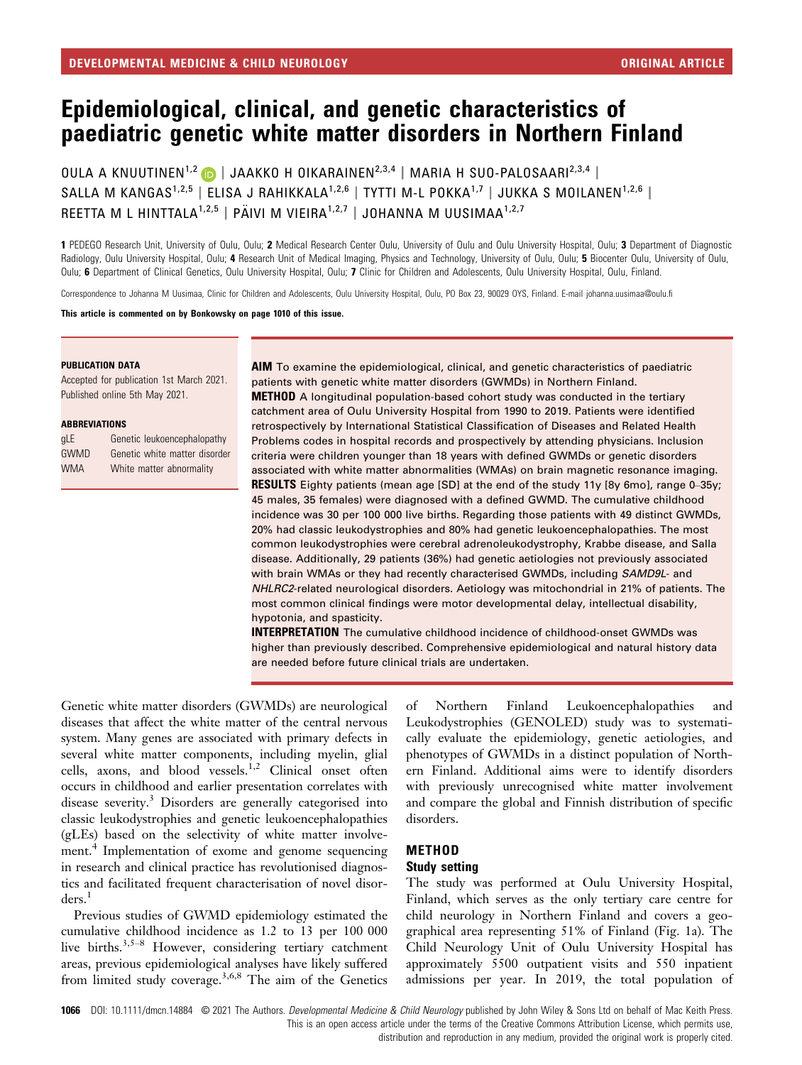# Epidemiological, clinical, and genetic characteristics of paediatric genetic white matter disorders in Northern Finland

OULA A KNUUTINEN<sup>1,2</sup> | JAAKKO H OIKARAINEN<sup>2,3,4</sup> | MARIA H SUO-PALOSAARI<sup>2,3,4</sup> | SALLA M KANGAS<sup>1,2,5</sup> | ELISA J RAHIKKALA<sup>1,2,6</sup> | TYTTI M-L POKKA<sup>1,7</sup> | JUKKA S MOILANEN<sup>1,2,6</sup> | REETTA M L HINTTALA<sup>1,2,5</sup> | PÄIVI M VIEIRA<sup>1,2,7</sup> | JOHANNA M UUSIMAA<sup>1,2,7</sup>

1 PEDEGO Research Unit, University of Oulu, Oulu; 2 Medical Research Center Oulu, University of Oulu and Oulu University Hospital, Oulu: 3 Department of Diagnostic Radiology, Oulu University Hospital, Oulu; 4 Research Unit of Medical Imaging, Physics and Technology, University of Oulu, Oulu; 5 Biocenter Oulu, University of Oulu, Oulu; 6 Department of Clinical Genetics, Oulu University Hospital, Oulu; 7 Clinic for Children and Adolescents, Oulu University Hospital, Oulu, Finland.

Correspondence to Johanna M Uusimaa, Clinic for Children and Adolescents, Oulu University Hospital, Oulu, PO Box 23, 90029 OYS, Finland. E-mail [johanna.uusimaa@oulu.fi](mailto:)

This article is commented on by Bonkowsky on page 1010 of this issue.

#### PUBLICATION DATA

Accepted for publication 1st March 2021. Published online 5th May 2021.

#### ABBREVIATIONS

| <b>qLE</b>  | Genetic leukoencephalopathy   |
|-------------|-------------------------------|
| <b>GWMD</b> | Genetic white matter disorder |
| <b>WMA</b>  | White matter abnormality      |

AIM To examine the epidemiological, clinical, and genetic characteristics of paediatric patients with genetic white matter disorders (GWMDs) in Northern Finland. **METHOD** A longitudinal population-based cohort study was conducted in the tertiary catchment area of Oulu University Hospital from 1990 to 2019. Patients were identified retrospectively by International Statistical Classification of Diseases and Related Health Problems codes in hospital records and prospectively by attending physicians. Inclusion criteria were children younger than 18 years with defined GWMDs or genetic disorders associated with white matter abnormalities (WMAs) on brain magnetic resonance imaging. RESULTS Eighty patients (mean age [SD] at the end of the study 11y [8y 6mo], range 0–35y; 45 males, 35 females) were diagnosed with a defined GWMD. The cumulative childhood incidence was 30 per 100 000 live births. Regarding those patients with 49 distinct GWMDs, 20% had classic leukodystrophies and 80% had genetic leukoencephalopathies. The most common leukodystrophies were cerebral adrenoleukodystrophy, Krabbe disease, and Salla disease. Additionally, 29 patients (36%) had genetic aetiologies not previously associated with brain WMAs or they had recently characterised GWMDs, including SAMD9L- and NHLRC2-related neurological disorders. Aetiology was mitochondrial in 21% of patients. The most common clinical findings were motor developmental delay, intellectual disability, hypotonia, and spasticity.

INTERPRETATION The cumulative childhood incidence of childhood-onset GWMDs was higher than previously described. Comprehensive epidemiological and natural history data are needed before future clinical trials are undertaken.

Genetic white matter disorders (GWMDs) are neurological diseases that affect the white matter of the central nervous system. Many genes are associated with primary defects in several white matter components, including myelin, glial cells, axons, and blood vessels.<sup>1,2</sup> Clinical onset often occurs in childhood and earlier presentation correlates with disease severity.<sup>3</sup> Disorders are generally categorised into classic leukodystrophies and genetic leukoencephalopathies (gLEs) based on the selectivity of white matter involvement.<sup>4</sup> Implementation of exome and genome sequencing in research and clinical practice has revolutionised diagnostics and facilitated frequent characterisation of novel disor $ders.<sup>1</sup>$ 

Previous studies of GWMD epidemiology estimated the cumulative childhood incidence as 1.2 to 13 per 100 000 live births.<sup>3,5–8</sup> However, considering tertiary catchment areas, previous epidemiological analyses have likely suffered from limited study coverage.3,6,8 The aim of the Genetics of Northern Finland Leukoencephalopathies and Leukodystrophies (GENOLED) study was to systematically evaluate the epidemiology, genetic aetiologies, and phenotypes of GWMDs in a distinct population of Northern Finland. Additional aims were to identify disorders with previously unrecognised white matter involvement and compare the global and Finnish distribution of specific disorders.

#### METHOD

#### Study setting

The study was performed at Oulu University Hospital, Finland, which serves as the only tertiary care centre for child neurology in Northern Finland and covers a geographical area representing 51% of Finland (Fig. 1a). The Child Neurology Unit of Oulu University Hospital has approximately 5500 outpatient visits and 550 inpatient admissions per year. In 2019, the total population of

1066 DOI: 10.1111/dmcn.14884 © 2021 The Authors. Developmental Medicine & Child Neurology published by John Wiley & Sons Ltd on behalf of Mac Keith Press. This is an open access article under the terms of the [Creative Commons Attribution](http://creativecommons.org/licenses/by/4.0/) License, which permits use,

distribution and reproduction in any medium, provided the original work is properly cited.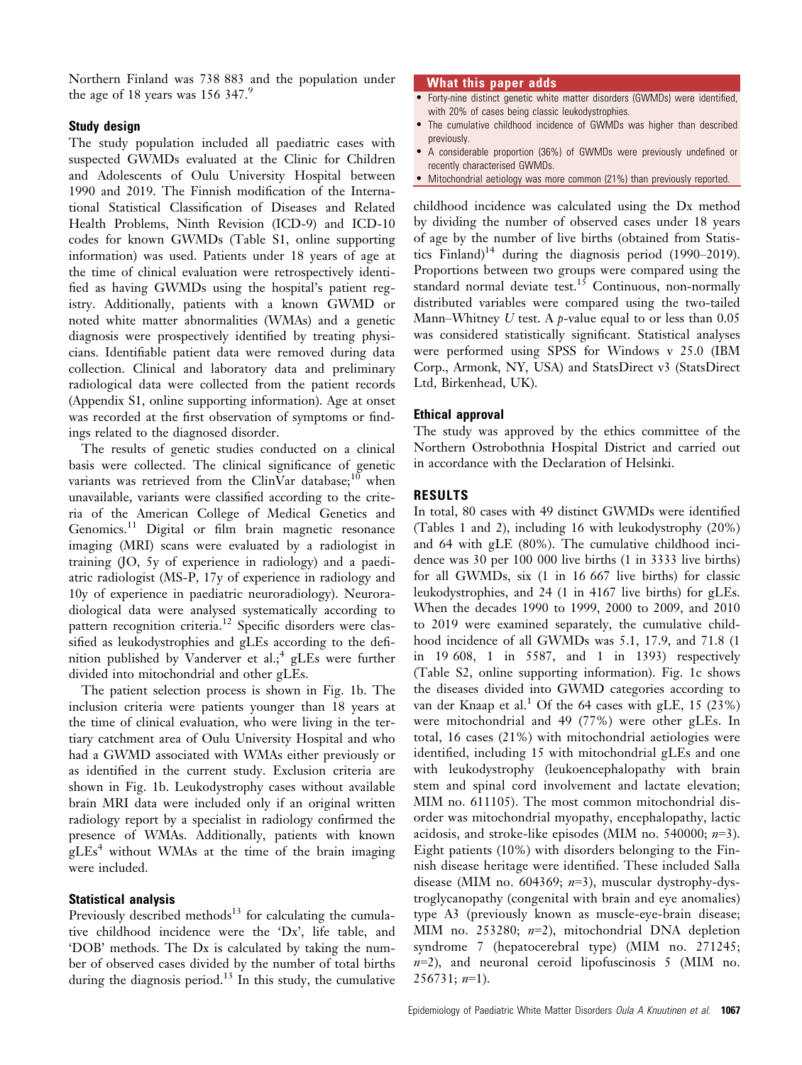Northern Finland was 738 883 and the population under the age of 18 years was  $156$  347.<sup>9</sup>

## Study design

The study population included all paediatric cases with suspected GWMDs evaluated at the Clinic for Children and Adolescents of Oulu University Hospital between 1990 and 2019. The Finnish modification of the International Statistical Classification of Diseases and Related Health Problems, Ninth Revision (ICD-9) and ICD-10 codes for known GWMDs (Table S1, online supporting information) was used. Patients under 18 years of age at the time of clinical evaluation were retrospectively identified as having GWMDs using the hospital's patient registry. Additionally, patients with a known GWMD or noted white matter abnormalities (WMAs) and a genetic diagnosis were prospectively identified by treating physicians. Identifiable patient data were removed during data collection. Clinical and laboratory data and preliminary radiological data were collected from the patient records (Appendix S1, online supporting information). Age at onset was recorded at the first observation of symptoms or findings related to the diagnosed disorder.

The results of genetic studies conducted on a clinical basis were collected. The clinical significance of genetic variants was retrieved from the ClinVar database;<sup>10</sup> when unavailable, variants were classified according to the criteria of the American College of Medical Genetics and Genomics.<sup>11</sup> Digital or film brain magnetic resonance imaging (MRI) scans were evaluated by a radiologist in training (JO, 5y of experience in radiology) and a paediatric radiologist (MS-P, 17y of experience in radiology and 10y of experience in paediatric neuroradiology). Neuroradiological data were analysed systematically according to pattern recognition criteria.<sup>12</sup> Specific disorders were classified as leukodystrophies and gLEs according to the definition published by Vanderver et  $al.^4$  gLEs were further divided into mitochondrial and other gLEs.

The patient selection process is shown in Fig. 1b. The inclusion criteria were patients younger than 18 years at the time of clinical evaluation, who were living in the tertiary catchment area of Oulu University Hospital and who had a GWMD associated with WMAs either previously or as identified in the current study. Exclusion criteria are shown in Fig. 1b. Leukodystrophy cases without available brain MRI data were included only if an original written radiology report by a specialist in radiology confirmed the presence of WMAs. Additionally, patients with known  $gLEs<sup>4</sup>$  without WMAs at the time of the brain imaging were included.

# Statistical analysis

Previously described methods $13$  for calculating the cumulative childhood incidence were the 'Dx', life table, and 'DOB' methods. The Dx is calculated by taking the number of observed cases divided by the number of total births during the diagnosis period. $13$  In this study, the cumulative

## What this paper adds

- Forty-nine distinct genetic white matter disorders (GWMDs) were identified, with 20% of cases being classic leukodystrophies.
- The cumulative childhood incidence of GWMDs was higher than described previously.
- A considerable proportion (36%) of GWMDs were previously undefined or recently characterised GWMDs.
- Mitochondrial aetiology was more common (21%) than previously reported.

childhood incidence was calculated using the Dx method by dividing the number of observed cases under 18 years of age by the number of live births (obtained from Statistics Finland) $14$  during the diagnosis period (1990–2019). Proportions between two groups were compared using the standard normal deviate test.<sup>15</sup> Continuous, non-normally distributed variables were compared using the two-tailed Mann–Whitney U test. A *p*-value equal to or less than  $0.05$ was considered statistically significant. Statistical analyses were performed using SPSS for Windows v 25.0 (IBM Corp., Armonk, NY, USA) and StatsDirect v3 (StatsDirect Ltd, Birkenhead, UK).

## Ethical approval

The study was approved by the ethics committee of the Northern Ostrobothnia Hospital District and carried out in accordance with the Declaration of Helsinki.

# RESULTS

In total, 80 cases with 49 distinct GWMDs were identified (Tables 1 and 2), including 16 with leukodystrophy (20%) and 64 with gLE (80%). The cumulative childhood incidence was 30 per 100 000 live births (1 in 3333 live births) for all GWMDs, six (1 in 16 667 live births) for classic leukodystrophies, and 24 (1 in 4167 live births) for gLEs. When the decades 1990 to 1999, 2000 to 2009, and 2010 to 2019 were examined separately, the cumulative childhood incidence of all GWMDs was 5.1, 17.9, and 71.8 (1 in 19 608, 1 in 5587, and 1 in 1393) respectively (Table S2, online supporting information). Fig. 1c shows the diseases divided into GWMD categories according to van der Knaap et al.<sup>1</sup> Of the 64 cases with gLE, 15 (23%) were mitochondrial and 49 (77%) were other gLEs. In total, 16 cases (21%) with mitochondrial aetiologies were identified, including 15 with mitochondrial gLEs and one with leukodystrophy (leukoencephalopathy with brain stem and spinal cord involvement and lactate elevation; MIM no. 611105). The most common mitochondrial disorder was mitochondrial myopathy, encephalopathy, lactic acidosis, and stroke-like episodes (MIM no. 540000;  $n=3$ ). Eight patients (10%) with disorders belonging to the Finnish disease heritage were identified. These included Salla disease (MIM no. 604369;  $n=3$ ), muscular dystrophy-dystroglycanopathy (congenital with brain and eye anomalies) type A3 (previously known as muscle-eye-brain disease; MIM no. 253280; n=2), mitochondrial DNA depletion syndrome 7 (hepatocerebral type) (MIM no. 271245;  $n=2$ ), and neuronal ceroid lipofuscinosis 5 (MIM no.  $256731; n=1$ ).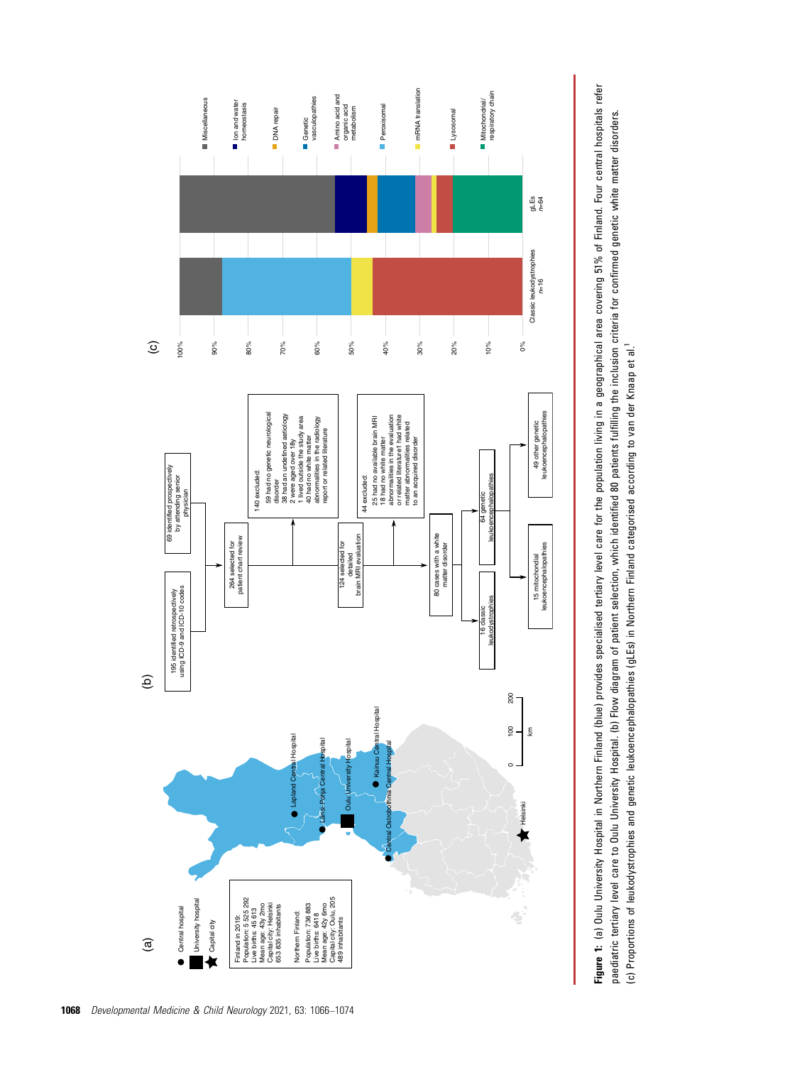

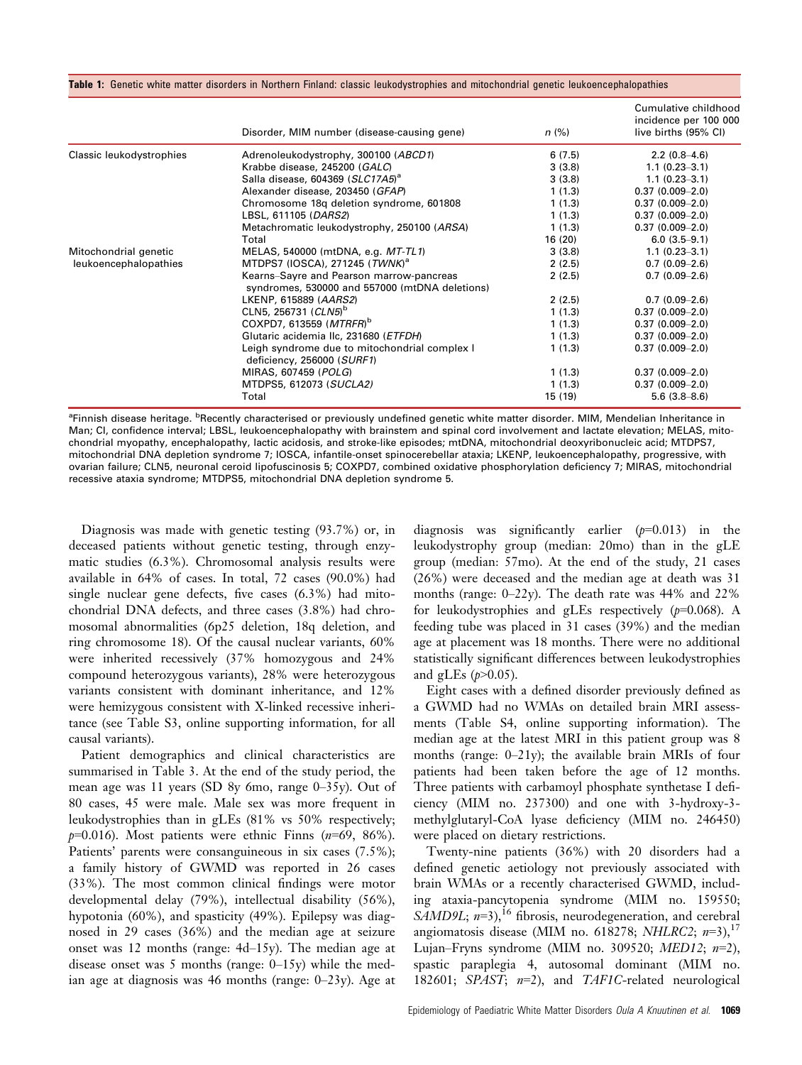|  |  |  |  |  |  | Table 1: Genetic white matter disorders in Northern Finland: classic leukodystrophies and mitochondrial genetic leukoencephalopathier |  |  |
|--|--|--|--|--|--|---------------------------------------------------------------------------------------------------------------------------------------|--|--|
|  |  |  |  |  |  |                                                                                                                                       |  |  |

|                          | Disorder, MIM number (disease-causing gene)                                                | n (%)   | Cumulative childhood<br>incidence per 100 000<br>live births (95% CI) |
|--------------------------|--------------------------------------------------------------------------------------------|---------|-----------------------------------------------------------------------|
| Classic leukodystrophies | Adrenoleukodystrophy, 300100 (ABCD1)                                                       | 6(7.5)  | $2.2(0.8-4.6)$                                                        |
|                          | Krabbe disease, 245200 (GALC)                                                              | 3(3.8)  | $1.1(0.23 - 3.1)$                                                     |
|                          | Salla disease, 604369 (SLC17A5) <sup>a</sup>                                               | 3(3.8)  | $1.1(0.23 - 3.1)$                                                     |
|                          | Alexander disease, 203450 (GFAP)                                                           | 1(1.3)  | $0.37(0.009 - 2.0)$                                                   |
|                          | Chromosome 18q deletion syndrome, 601808                                                   | 1(1.3)  | $0.37(0.009 - 2.0)$                                                   |
|                          | LBSL, 611105 (DARS2)                                                                       | 1(1.3)  | $0.37(0.009 - 2.0)$                                                   |
|                          | Metachromatic leukodystrophy, 250100 (ARSA)                                                | 1(1.3)  | $0.37(0.009 - 2.0)$                                                   |
|                          | Total                                                                                      | 16 (20) | $6.0(3.5-9.1)$                                                        |
| Mitochondrial genetic    | MELAS, 540000 (mtDNA, e.g. MT-TL1)                                                         | 3(3.8)  | $1.1(0.23 - 3.1)$                                                     |
| leukoencephalopathies    | MTDPS7 (IOSCA), 271245 ( $TWNK$ ) <sup>a</sup>                                             | 2(2.5)  | $0.7(0.09-2.6)$                                                       |
|                          | Kearns-Sayre and Pearson marrow-pancreas<br>syndromes, 530000 and 557000 (mtDNA deletions) | 2(2.5)  | $0.7(0.09-2.6)$                                                       |
|                          | LKENP, 615889 (AARS2)                                                                      | 2(2.5)  | $0.7(0.09-2.6)$                                                       |
|                          | CLN5, 256731 (CLN5) <sup>b</sup>                                                           | 1(1.3)  | $0.37(0.009 - 2.0)$                                                   |
|                          | COXPD7, 613559 (MTRFR) <sup>b</sup>                                                        | 1(1.3)  | $0.37(0.009 - 2.0)$                                                   |
|                          | Glutaric acidemia Ilc, 231680 (ETFDH)                                                      | 1(1.3)  | $0.37(0.009 - 2.0)$                                                   |
|                          | Leigh syndrome due to mitochondrial complex I<br>deficiency, 256000 (SURF1)                | 1(1.3)  | $0.37(0.009 - 2.0)$                                                   |
|                          | MIRAS, 607459 (POLG)                                                                       | 1(1.3)  | $0.37(0.009 - 2.0)$                                                   |
|                          | MTDPS5, 612073 (SUCLA2)                                                                    | 1(1.3)  | $0.37(0.009 - 2.0)$                                                   |
|                          | Total                                                                                      | 15 (19) | $5.6(3.8 - 8.6)$                                                      |

<sup>a</sup>Finnish disease heritage. <sup>b</sup>Recently characterised or previously undefined genetic white matter disorder. MIM, Mendelian Inheritance in Man; CL confidence interval; LBSL, leukoencephalopathy with brainstem and spinal cord involvement and lactate elevation; MELAS, mitochondrial myopathy, encephalopathy, lactic acidosis, and stroke-like episodes; mtDNA, mitochondrial deoxyribonucleic acid; MTDPS7, mitochondrial DNA depletion syndrome 7; IOSCA, infantile-onset spinocerebellar ataxia; LKENP, leukoencephalopathy, progressive, with ovarian failure; CLN5, neuronal ceroid lipofuscinosis 5; COXPD7, combined oxidative phosphorylation deficiency 7; MIRAS, mitochondrial recessive ataxia syndrome; MTDPS5, mitochondrial DNA depletion syndrome 5.

Diagnosis was made with genetic testing (93.7%) or, in deceased patients without genetic testing, through enzymatic studies (6.3%). Chromosomal analysis results were available in 64% of cases. In total, 72 cases (90.0%) had single nuclear gene defects, five cases (6.3%) had mitochondrial DNA defects, and three cases (3.8%) had chromosomal abnormalities (6p25 deletion, 18q deletion, and ring chromosome 18). Of the causal nuclear variants, 60% were inherited recessively (37% homozygous and 24% compound heterozygous variants), 28% were heterozygous variants consistent with dominant inheritance, and 12% were hemizygous consistent with X-linked recessive inheritance (see Table S3, online supporting information, for all causal variants).

Patient demographics and clinical characteristics are summarised in Table 3. At the end of the study period, the mean age was 11 years (SD 8y 6mo, range 0–35y). Out of 80 cases, 45 were male. Male sex was more frequent in leukodystrophies than in gLEs (81% vs 50% respectively;  $p=0.016$ ). Most patients were ethnic Finns ( $n=69, 86\%$ ). Patients' parents were consanguineous in six cases (7.5%); a family history of GWMD was reported in 26 cases (33%). The most common clinical findings were motor developmental delay (79%), intellectual disability (56%), hypotonia (60%), and spasticity (49%). Epilepsy was diagnosed in 29 cases (36%) and the median age at seizure onset was 12 months (range: 4d–15y). The median age at disease onset was 5 months (range:  $0-15y$ ) while the median age at diagnosis was 46 months (range:  $0-23y$ ). Age at diagnosis was significantly earlier  $(p=0.013)$  in the leukodystrophy group (median: 20mo) than in the gLE group (median: 57mo). At the end of the study, 21 cases (26%) were deceased and the median age at death was 31 months (range: 0–22y). The death rate was 44% and 22% for leukodystrophies and gLEs respectively  $(p=0.068)$ . A feeding tube was placed in 31 cases (39%) and the median age at placement was 18 months. There were no additional statistically significant differences between leukodystrophies and gLEs  $(p>0.05)$ .

Eight cases with a defined disorder previously defined as a GWMD had no WMAs on detailed brain MRI assessments (Table S4, online supporting information). The median age at the latest MRI in this patient group was 8 months (range: 0–21y); the available brain MRIs of four patients had been taken before the age of 12 months. Three patients with carbamoyl phosphate synthetase I deficiency (MIM no. 237300) and one with 3-hydroxy-3 methylglutaryl-CoA lyase deficiency (MIM no. 246450) were placed on dietary restrictions.

Twenty-nine patients (36%) with 20 disorders had a defined genetic aetiology not previously associated with brain WMAs or a recently characterised GWMD, including ataxia-pancytopenia syndrome (MIM no. 159550; SAMD9L;  $n=3$ ,<sup>16</sup> fibrosis, neurodegeneration, and cerebral angiomatosis disease (MIM no. 618278; NHLRC2;  $n=3$ ),<sup>17</sup> Lujan–Fryns syndrome (MIM no. 309520; MED12;  $n=2$ ), spastic paraplegia 4, autosomal dominant (MIM no. 182601; SPAST;  $n=2$ ), and TAF1C-related neurological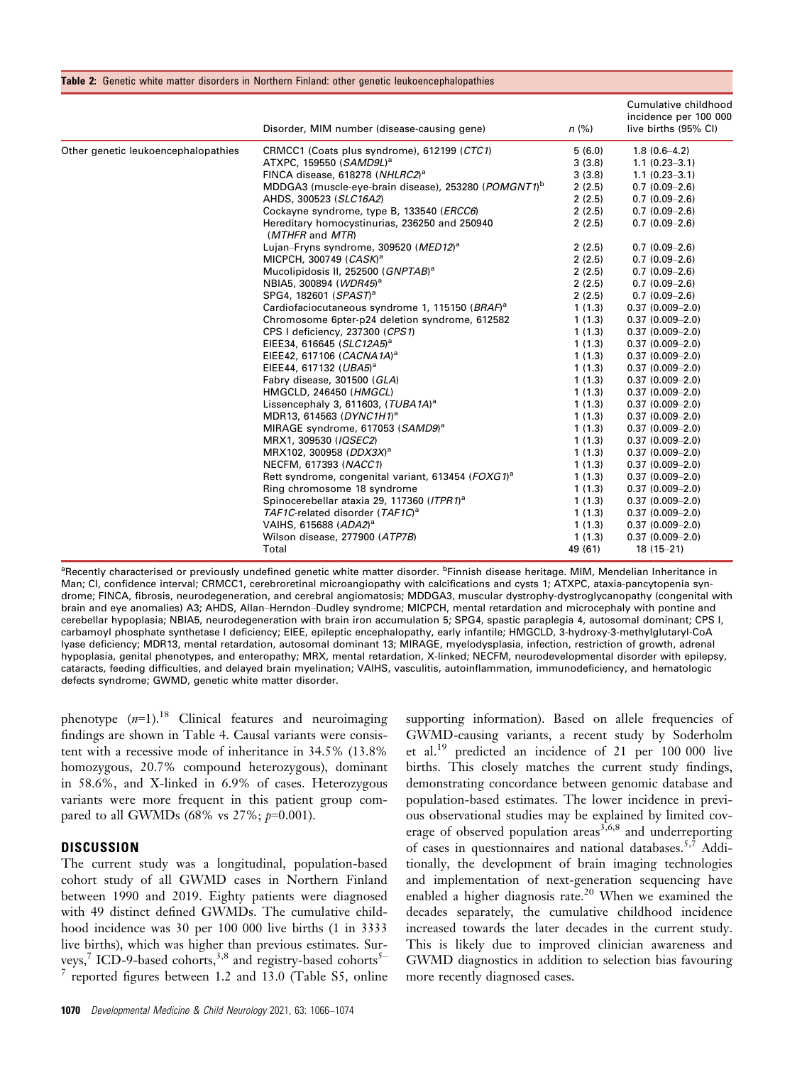|                                     | Disorder, MIM number (disease-causing gene)                      | n (%)   | Cumulative childhood<br>incidence per 100 000<br>live births (95% CI) |
|-------------------------------------|------------------------------------------------------------------|---------|-----------------------------------------------------------------------|
| Other genetic leukoencephalopathies | CRMCC1 (Coats plus syndrome), 612199 (CTC1)                      | 5(6.0)  | $1.8(0.6-4.2)$                                                        |
|                                     | ATXPC, 159550 (SAMD9L) <sup>a</sup>                              | 3(3.8)  | $1.1(0.23 - 3.1)$                                                     |
|                                     | FINCA disease, 618278 (NHLRC2) <sup>a</sup>                      | 3(3.8)  | $1.1(0.23 - 3.1)$                                                     |
|                                     | MDDGA3 (muscle-eye-brain disease), 253280 (POMGNT1) <sup>b</sup> | 2(2.5)  | $0.7(0.09-2.6)$                                                       |
|                                     | AHDS, 300523 (SLC16A2)                                           | 2(2.5)  | $0.7(0.09-2.6)$                                                       |
|                                     | Cockayne syndrome, type B, 133540 (ERCC6)                        | 2(2.5)  | $0.7(0.09-2.6)$                                                       |
|                                     | Hereditary homocystinurias, 236250 and 250940<br>(MTHFR and MTR) | 2(2.5)  | $0.7(0.09-2.6)$                                                       |
|                                     | Lujan-Fryns syndrome, 309520 (MED12) <sup>a</sup>                | 2(2.5)  | $0.7(0.09-2.6)$                                                       |
|                                     | MICPCH, 300749 (CASK) <sup>a</sup>                               | 2(2.5)  | $0.7(0.09-2.6)$                                                       |
|                                     | Mucolipidosis II, 252500 (GNPTAB) <sup>a</sup>                   | 2(2.5)  | $0.7(0.09-2.6)$                                                       |
|                                     | NBIA5, 300894 (WDR45) <sup>a</sup>                               | 2(2.5)  | $0.7(0.09-2.6)$                                                       |
|                                     | SPG4, 182601 (SPAST) <sup>a</sup>                                | 2(2.5)  | $0.7(0.09-2.6)$                                                       |
|                                     | Cardiofaciocutaneous syndrome 1, 115150 (BRAF) <sup>a</sup>      | 1(1.3)  | $0.37(0.009 - 2.0)$                                                   |
|                                     | Chromosome 6pter-p24 deletion syndrome, 612582                   | 1(1.3)  | $0.37(0.009 - 2.0)$                                                   |
|                                     | CPS I deficiency, 237300 (CPS1)                                  | 1(1.3)  | $0.37(0.009 - 2.0)$                                                   |
|                                     | EIEE34, 616645 (SLC12A5) <sup>a</sup>                            | 1(1.3)  | $0.37(0.009 - 2.0)$                                                   |
|                                     | EIEE42, 617106 (CACNA1A) <sup>a</sup>                            | 1(1.3)  | $0.37(0.009 - 2.0)$                                                   |
|                                     | EIEE44, 617132 (UBA5) <sup>a</sup>                               | 1(1.3)  | $0.37(0.009 - 2.0)$                                                   |
|                                     | Fabry disease, 301500 (GLA)                                      | 1(1.3)  | $0.37(0.009 - 2.0)$                                                   |
|                                     | HMGCLD, 246450 (HMGCL)                                           | 1(1.3)  | $0.37(0.009 - 2.0)$                                                   |
|                                     | Lissencephaly 3, 611603, (TUBA1A) <sup>a</sup>                   | 1(1.3)  | $0.37(0.009 - 2.0)$                                                   |
|                                     | MDR13, 614563 (DYNC1H1) <sup>a</sup>                             | 1(1.3)  | $0.37(0.009 - 2.0)$                                                   |
|                                     | MIRAGE syndrome, 617053 (SAMD9) <sup>a</sup>                     | 1(1.3)  | $0.37(0.009 - 2.0)$                                                   |
|                                     | MRX1, 309530 (IQSEC2)                                            | 1(1.3)  | $0.37(0.009 - 2.0)$                                                   |
|                                     | MRX102, 300958 (DDX3X) <sup>a</sup>                              | 1(1.3)  | $0.37(0.009 - 2.0)$                                                   |
|                                     | NECFM, 617393 (NACC1)                                            | 1(1.3)  | $0.37(0.009 - 2.0)$                                                   |
|                                     | Rett syndrome, congenital variant, 613454 (FOXG1) <sup>a</sup>   | 1(1.3)  | $0.37(0.009 - 2.0)$                                                   |
|                                     | Ring chromosome 18 syndrome                                      | 1(1.3)  | $0.37(0.009 - 2.0)$                                                   |
|                                     | Spinocerebellar ataxia 29, 117360 (ITPR1) <sup>a</sup>           | 1(1.3)  | $0.37(0.009 - 2.0)$                                                   |
|                                     | TAF1C-related disorder (TAF1C) <sup>a</sup>                      | 1(1.3)  | $0.37(0.009 - 2.0)$                                                   |
|                                     | VAIHS, 615688 (ADA2) <sup>a</sup>                                | 1(1.3)  | $0.37(0.009 - 2.0)$                                                   |
|                                     | Wilson disease, 277900 (ATP7B)                                   | 1(1.3)  | $0.37(0.009 - 2.0)$                                                   |
|                                     | Total                                                            | 49 (61) | $18(15-21)$                                                           |

<sup>a</sup>Recently characterised or previously undefined genetic white matter disorder. <sup>b</sup>Finnish disease heritage. MIM, Mendelian Inheritance in Man; CI, confidence interval; CRMCC1, cerebroretinal microangiopathy with calcifications and cysts 1; ATXPC, ataxia-pancytopenia syndrome; FINCA, fibrosis, neurodegeneration, and cerebral angiomatosis; MDDGA3, muscular dystrophy-dystroglycanopathy (congenital with brain and eye anomalies) A3; AHDS, Allan–Herndon–Dudley syndrome; MICPCH, mental retardation and microcephaly with pontine and cerebellar hypoplasia; NBIA5, neurodegeneration with brain iron accumulation 5; SPG4, spastic paraplegia 4, autosomal dominant; CPS I, carbamoyl phosphate synthetase I deficiency; EIEE, epileptic encephalopathy, early infantile; HMGCLD, 3-hydroxy-3-methylglutaryl-CoA lyase deficiency; MDR13, mental retardation, autosomal dominant 13; MIRAGE, myelodysplasia, infection, restriction of growth, adrenal hypoplasia, genital phenotypes, and enteropathy; MRX, mental retardation, X-linked; NECFM, neurodevelopmental disorder with epilepsy, cataracts, feeding difficulties, and delayed brain myelination; VAIHS, vasculitis, autoinflammation, immunodeficiency, and hematologic defects syndrome; GWMD, genetic white matter disorder.

phenotype  $(n=1)$ .<sup>18</sup> Clinical features and neuroimaging findings are shown in Table 4. Causal variants were consistent with a recessive mode of inheritance in 34.5% (13.8% homozygous, 20.7% compound heterozygous), dominant in 58.6%, and X-linked in 6.9% of cases. Heterozygous variants were more frequent in this patient group compared to all GWMDs (68% vs  $27\%$ ;  $p=0.001$ ).

# **DISCUSSION**

The current study was a longitudinal, population-based cohort study of all GWMD cases in Northern Finland between 1990 and 2019. Eighty patients were diagnosed with 49 distinct defined GWMDs. The cumulative childhood incidence was 30 per 100 000 live births (1 in 3333 live births), which was higher than previous estimates. Surveys,<sup>7</sup> ICD-9-based cohorts,<sup>3,8</sup> and registry-based cohorts<sup>5-</sup>  $7$  reported figures between 1.2 and 13.0 (Table S5, online supporting information). Based on allele frequencies of GWMD-causing variants, a recent study by Soderholm et al.<sup>19</sup> predicted an incidence of 21 per 100 000 live births. This closely matches the current study findings, demonstrating concordance between genomic database and population-based estimates. The lower incidence in previous observational studies may be explained by limited coverage of observed population areas<sup>3,6,8</sup> and underreporting of cases in questionnaires and national databases.<sup>5,7</sup> Additionally, the development of brain imaging technologies and implementation of next-generation sequencing have enabled a higher diagnosis rate.<sup>20</sup> When we examined the decades separately, the cumulative childhood incidence increased towards the later decades in the current study. This is likely due to improved clinician awareness and GWMD diagnostics in addition to selection bias favouring more recently diagnosed cases.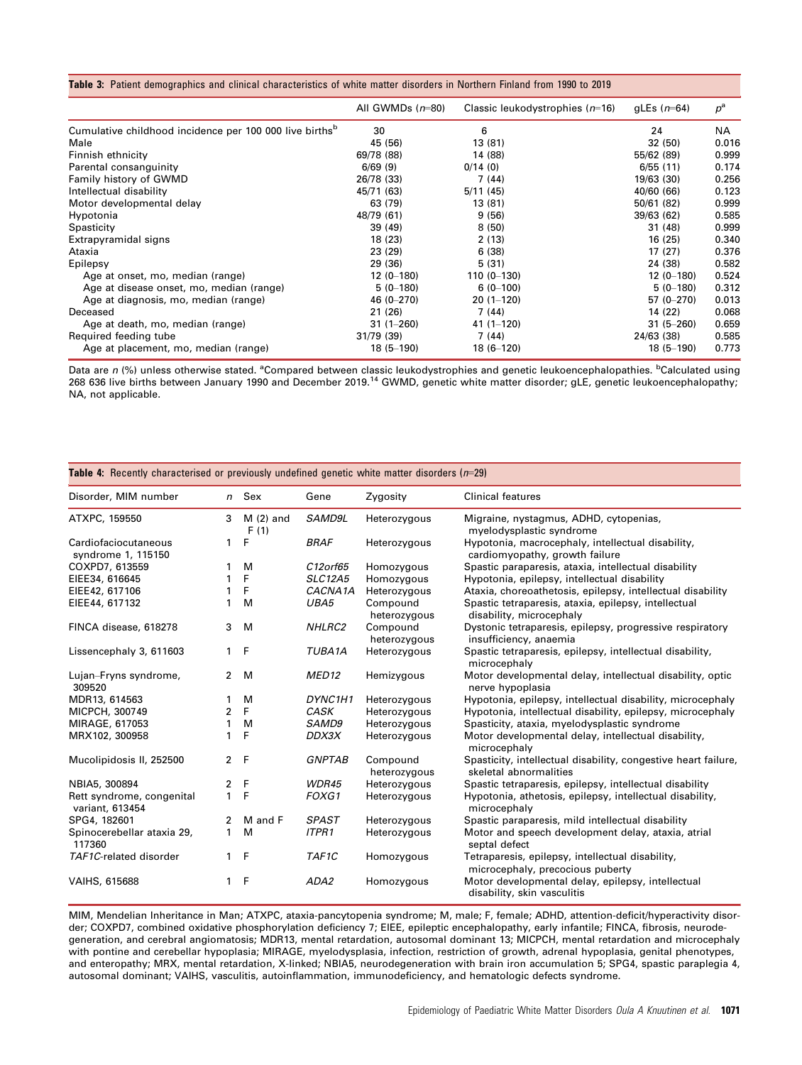#### Table 3: Patient demographics and clinical characteristics of white matter disorders in Northern Finland from 1990 to 2019

|                                                                     | All GWMDs $(n=80)$ | Classic leukodystrophies $(n=16)$ | gLEs $(n=64)$ | $p^{\rm a}$ |
|---------------------------------------------------------------------|--------------------|-----------------------------------|---------------|-------------|
| Cumulative childhood incidence per 100 000 live births <sup>b</sup> | 30                 | 6                                 | 24            | NA          |
| Male                                                                | 45 (56)            | 13 (81)                           | 32 (50)       | 0.016       |
| Finnish ethnicity                                                   | 69/78 (88)         | 14 (88)                           | 55/62 (89)    | 0.999       |
| Parental consanguinity                                              | 6/69(9)            | 0/14(0)                           | 6/55(11)      | 0.174       |
| Family history of GWMD                                              | 26/78 (33)         | 7 (44)                            | 19/63 (30)    | 0.256       |
| Intellectual disability                                             | 45/71 (63)         | 5/11(45)                          | 40/60 (66)    | 0.123       |
| Motor developmental delay                                           | 63 (79)            | 13 (81)                           | 50/61 (82)    | 0.999       |
| Hypotonia                                                           | 48/79 (61)         | 9(56)                             | 39/63 (62)    | 0.585       |
| Spasticity                                                          | 39 (49)            | 8(50)                             | 31 (48)       | 0.999       |
| Extrapyramidal signs                                                | 18 (23)            | 2(13)                             | 16(25)        | 0.340       |
| Ataxia                                                              | 23 (29)            | 6(38)                             | 17(27)        | 0.376       |
| Epilepsy                                                            | 29 (36)            | 5(31)                             | 24 (38)       | 0.582       |
| Age at onset, mo, median (range)                                    | $12(0-180)$        | $110(0 - 130)$                    | $12(0 - 180)$ | 0.524       |
| Age at disease onset, mo, median (range)                            | $5(0-180)$         | $6(0-100)$                        | $5(0-180)$    | 0.312       |
| Age at diagnosis, mo, median (range)                                | 46 (0-270)         | $20(1-120)$                       | $57(0 - 270)$ | 0.013       |
| Deceased                                                            | 21 (26)            | 7(44)                             | 14 (22)       | 0.068       |
| Age at death, mo, median (range)                                    | $31(1 - 260)$      | $41(1 - 120)$                     | $31(5 - 260)$ | 0.659       |
| Required feeding tube                                               | 31/79 (39)         | 7(44)                             | 24/63 (38)    | 0.585       |
| Age at placement, mo, median (range)                                | $18(5 - 190)$      | $18(6 - 120)$                     | $18(5 - 190)$ | 0.773       |

Data are n (%) unless otherwise stated. <sup>a</sup>Compared between classic leukodystrophies and genetic leukoencephalopathies. <sup>b</sup>Calculated using 268 636 live births between January 1990 and December 2019.<sup>14</sup> GWMD, genetic white matter disorder; gLE, genetic leukoencephalopathy; NA, not applicable.

| <b>Table 4:</b> Recently characterised or previously undefined genetic white matter disorders $(n=29)$ |                |                    |                     |                          |                                                                                          |  |  |  |
|--------------------------------------------------------------------------------------------------------|----------------|--------------------|---------------------|--------------------------|------------------------------------------------------------------------------------------|--|--|--|
| Disorder, MIM number                                                                                   |                | n Sex              | Gene                | Zygosity                 | <b>Clinical features</b>                                                                 |  |  |  |
| ATXPC, 159550                                                                                          | 3              | $M(2)$ and<br>F(1) | SAMD9L              | Heterozygous             | Migraine, nystagmus, ADHD, cytopenias,<br>myelodysplastic syndrome                       |  |  |  |
| Cardiofaciocutaneous<br>syndrome 1, 115150                                                             | 1              | F                  | <b>BRAF</b>         | Heterozygous             | Hypotonia, macrocephaly, intellectual disability,<br>cardiomyopathy, growth failure      |  |  |  |
| COXPD7, 613559                                                                                         | 1              | м                  | C12orf65            | Homozygous               | Spastic paraparesis, ataxia, intellectual disability                                     |  |  |  |
| EIEE34, 616645                                                                                         |                | F                  | <b>SLC12A5</b>      | Homozygous               | Hypotonia, epilepsy, intellectual disability                                             |  |  |  |
| EIEE42, 617106                                                                                         | 1              | F                  | CACNA1A             | Heterozygous             | Ataxia, choreoathetosis, epilepsy, intellectual disability                               |  |  |  |
| EIEE44, 617132                                                                                         | 1              | M                  | UBA5                | Compound<br>heterozygous | Spastic tetraparesis, ataxia, epilepsy, intellectual<br>disability, microcephaly         |  |  |  |
| FINCA disease, 618278                                                                                  | 3              | M                  | NHLRC2              | Compound<br>heterozygous | Dystonic tetraparesis, epilepsy, progressive respiratory<br>insufficiency, anaemia       |  |  |  |
| Lissencephaly 3, 611603                                                                                | 1              | F                  | TUBA <sub>1</sub> A | Heterozygous             | Spastic tetraparesis, epilepsy, intellectual disability,<br>microcephaly                 |  |  |  |
| Lujan-Fryns syndrome,<br>309520                                                                        | $\mathbf{2}$   | M                  | MED <sub>12</sub>   | Hemizygous               | Motor developmental delay, intellectual disability, optic<br>nerve hypoplasia            |  |  |  |
| MDR13, 614563                                                                                          | 1              | M                  | DYNC1H1             | Heterozygous             | Hypotonia, epilepsy, intellectual disability, microcephaly                               |  |  |  |
| MICPCH, 300749                                                                                         | 2              | F                  | <b>CASK</b>         | Heterozygous             | Hypotonia, intellectual disability, epilepsy, microcephaly                               |  |  |  |
| MIRAGE, 617053                                                                                         | 1              | M                  | SAMD9               | Heterozygous             | Spasticity, ataxia, myelodysplastic syndrome                                             |  |  |  |
| MRX102, 300958                                                                                         | 1              | F                  | DDX3X               | Heterozygous             | Motor developmental delay, intellectual disability,<br>microcephaly                      |  |  |  |
| Mucolipidosis II, 252500                                                                               | $\overline{2}$ | F                  | <b>GNPTAB</b>       | Compound<br>heterozygous | Spasticity, intellectual disability, congestive heart failure,<br>skeletal abnormalities |  |  |  |
| NBIA5, 300894                                                                                          | 2              | F                  | WDR45               | Heterozygous             | Spastic tetraparesis, epilepsy, intellectual disability                                  |  |  |  |
| Rett syndrome, congenital<br>variant, 613454                                                           | 1              | F                  | FOXG1               | Heterozygous             | Hypotonia, athetosis, epilepsy, intellectual disability,<br>microcephaly                 |  |  |  |
| SPG4, 182601                                                                                           | 2              | M and F            | <b>SPAST</b>        | Heterozygous             | Spastic paraparesis, mild intellectual disability                                        |  |  |  |
| Spinocerebellar ataxia 29,<br>117360                                                                   | 1              | м                  | <b>ITPR1</b>        | Heterozygous             | Motor and speech development delay, ataxia, atrial<br>septal defect                      |  |  |  |
| TAF1C-related disorder                                                                                 | 1              | F                  | TAF1C               | Homozygous               | Tetraparesis, epilepsy, intellectual disability,<br>microcephaly, precocious puberty     |  |  |  |
| VAIHS, 615688                                                                                          | 1              | F                  | ADA2                | Homozygous               | Motor developmental delay, epilepsy, intellectual<br>disability, skin vasculitis         |  |  |  |

MIM, Mendelian Inheritance in Man; ATXPC, ataxia-pancytopenia syndrome; M, male; F, female; ADHD, attention-deficit/hyperactivity disorder; COXPD7, combined oxidative phosphorylation deficiency 7; EIEE, epileptic encephalopathy, early infantile; FINCA, fibrosis, neurodegeneration, and cerebral angiomatosis; MDR13, mental retardation, autosomal dominant 13; MICPCH, mental retardation and microcephaly with pontine and cerebellar hypoplasia; MIRAGE, myelodysplasia, infection, restriction of growth, adrenal hypoplasia, genital phenotypes, and enteropathy; MRX, mental retardation, X-linked; NBIA5, neurodegeneration with brain iron accumulation 5; SPG4, spastic paraplegia 4, autosomal dominant; VAIHS, vasculitis, autoinflammation, immunodeficiency, and hematologic defects syndrome.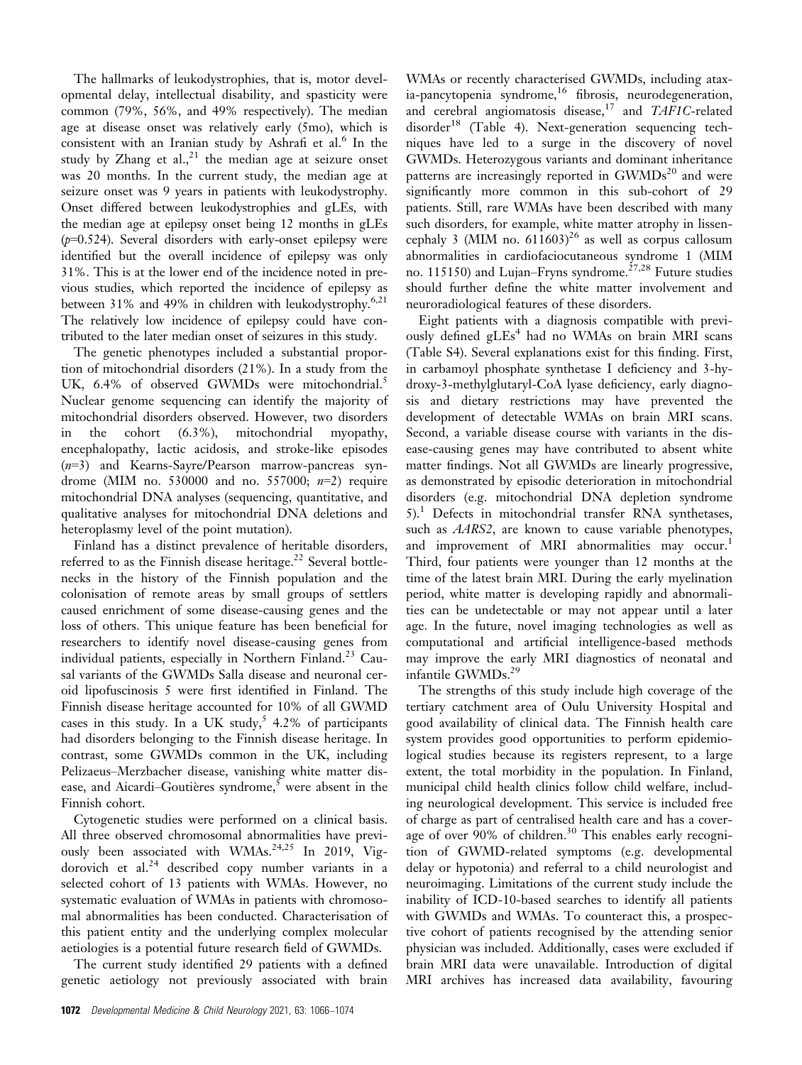The hallmarks of leukodystrophies, that is, motor developmental delay, intellectual disability, and spasticity were common (79%, 56%, and 49% respectively). The median age at disease onset was relatively early (5mo), which is consistent with an Iranian study by Ashrafi et al. $^6$  In the study by Zhang et al.,<sup>21</sup> the median age at seizure onset was 20 months. In the current study, the median age at seizure onset was 9 years in patients with leukodystrophy. Onset differed between leukodystrophies and gLEs, with the median age at epilepsy onset being 12 months in gLEs  $(p=0.524)$ . Several disorders with early-onset epilepsy were identified but the overall incidence of epilepsy was only 31%. This is at the lower end of the incidence noted in previous studies, which reported the incidence of epilepsy as between 31% and 49% in children with leukodystrophy.<sup>6,21</sup> The relatively low incidence of epilepsy could have contributed to the later median onset of seizures in this study.

The genetic phenotypes included a substantial proportion of mitochondrial disorders (21%). In a study from the UK, 6.4% of observed GWMDs were mitochondrial.<sup>5</sup> Nuclear genome sequencing can identify the majority of mitochondrial disorders observed. However, two disorders in the cohort (6.3%), mitochondrial myopathy, encephalopathy, lactic acidosis, and stroke-like episodes (n=3) and Kearns-Sayre/Pearson marrow-pancreas syndrome (MIM no. 530000 and no. 557000;  $n=2$ ) require mitochondrial DNA analyses (sequencing, quantitative, and qualitative analyses for mitochondrial DNA deletions and heteroplasmy level of the point mutation).

Finland has a distinct prevalence of heritable disorders, referred to as the Finnish disease heritage.<sup>22</sup> Several bottlenecks in the history of the Finnish population and the colonisation of remote areas by small groups of settlers caused enrichment of some disease-causing genes and the loss of others. This unique feature has been beneficial for researchers to identify novel disease-causing genes from individual patients, especially in Northern Finland.<sup>23</sup> Causal variants of the GWMDs Salla disease and neuronal ceroid lipofuscinosis 5 were first identified in Finland. The Finnish disease heritage accounted for 10% of all GWMD cases in this study. In a UK study,  $5\,4.2\%$  of participants had disorders belonging to the Finnish disease heritage. In contrast, some GWMDs common in the UK, including Pelizaeus–Merzbacher disease, vanishing white matter disease, and Aicardi-Goutières syndrome,<sup>5</sup> were absent in the Finnish cohort.

Cytogenetic studies were performed on a clinical basis. All three observed chromosomal abnormalities have previously been associated with WMAs.<sup>24,25</sup> In 2019, Vigdorovich et al. $^{24}$  described copy number variants in a selected cohort of 13 patients with WMAs. However, no systematic evaluation of WMAs in patients with chromosomal abnormalities has been conducted. Characterisation of this patient entity and the underlying complex molecular aetiologies is a potential future research field of GWMDs.

The current study identified 29 patients with a defined genetic aetiology not previously associated with brain WMAs or recently characterised GWMDs, including atax $i$ a-pancytopenia syndrome, $i$ <sup>6</sup> fibrosis, neurodegeneration, and cerebral angiomatosis disease,<sup>17</sup> and TAF1C-related  $disorder<sup>18</sup>$  (Table 4). Next-generation sequencing techniques have led to a surge in the discovery of novel GWMDs. Heterozygous variants and dominant inheritance patterns are increasingly reported in  $GWMDs<sup>20</sup>$  and were significantly more common in this sub-cohort of 29 patients. Still, rare WMAs have been described with many such disorders, for example, white matter atrophy in lissencephaly 3 (MIM no.  $611603$ )<sup>26</sup> as well as corpus callosum abnormalities in cardiofaciocutaneous syndrome 1 (MIM no. 115150) and Lujan–Fryns syndrome.<sup>27,28</sup> Future studies should further define the white matter involvement and neuroradiological features of these disorders.

Eight patients with a diagnosis compatible with previously defined  $gLEs<sup>4</sup>$  had no WMAs on brain MRI scans (Table S4). Several explanations exist for this finding. First, in carbamoyl phosphate synthetase I deficiency and 3-hydroxy-3-methylglutaryl-CoA lyase deficiency, early diagnosis and dietary restrictions may have prevented the development of detectable WMAs on brain MRI scans. Second, a variable disease course with variants in the disease-causing genes may have contributed to absent white matter findings. Not all GWMDs are linearly progressive, as demonstrated by episodic deterioration in mitochondrial disorders (e.g. mitochondrial DNA depletion syndrome 5).1 Defects in mitochondrial transfer RNA synthetases, such as AARS2, are known to cause variable phenotypes, and improvement of MRI abnormalities may occur.<sup>1</sup> Third, four patients were younger than 12 months at the time of the latest brain MRI. During the early myelination period, white matter is developing rapidly and abnormalities can be undetectable or may not appear until a later age. In the future, novel imaging technologies as well as computational and artificial intelligence-based methods may improve the early MRI diagnostics of neonatal and infantile GWMDs.<sup>29</sup>

The strengths of this study include high coverage of the tertiary catchment area of Oulu University Hospital and good availability of clinical data. The Finnish health care system provides good opportunities to perform epidemiological studies because its registers represent, to a large extent, the total morbidity in the population. In Finland, municipal child health clinics follow child welfare, including neurological development. This service is included free of charge as part of centralised health care and has a coverage of over 90% of children.<sup>30</sup> This enables early recognition of GWMD-related symptoms (e.g. developmental delay or hypotonia) and referral to a child neurologist and neuroimaging. Limitations of the current study include the inability of ICD-10-based searches to identify all patients with GWMDs and WMAs. To counteract this, a prospective cohort of patients recognised by the attending senior physician was included. Additionally, cases were excluded if brain MRI data were unavailable. Introduction of digital MRI archives has increased data availability, favouring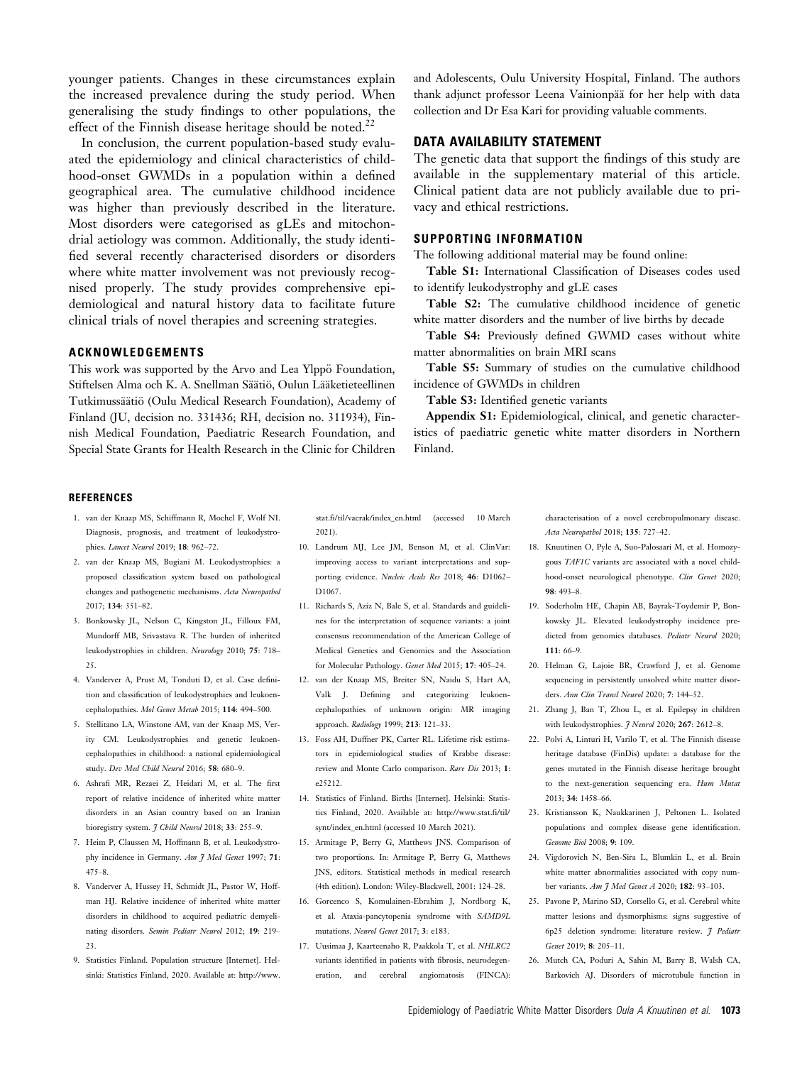younger patients. Changes in these circumstances explain the increased prevalence during the study period. When generalising the study findings to other populations, the effect of the Finnish disease heritage should be noted.<sup>22</sup>

In conclusion, the current population-based study evaluated the epidemiology and clinical characteristics of childhood-onset GWMDs in a population within a defined geographical area. The cumulative childhood incidence was higher than previously described in the literature. Most disorders were categorised as gLEs and mitochondrial aetiology was common. Additionally, the study identified several recently characterised disorders or disorders where white matter involvement was not previously recognised properly. The study provides comprehensive epidemiological and natural history data to facilitate future clinical trials of novel therapies and screening strategies.

# ACKNOWLEDGEMENTS

This work was supported by the Arvo and Lea Ylppö Foundation, Stiftelsen Alma och K. A. Snellman Säätiö, Oulun Lääketieteellinen Tutkimussäätiö (Oulu Medical Research Foundation), Academy of Finland (JU, decision no. 331436; RH, decision no. 311934), Finnish Medical Foundation, Paediatric Research Foundation, and Special State Grants for Health Research in the Clinic for Children and Adolescents, Oulu University Hospital, Finland. The authors thank adjunct professor Leena Vainionpää for her help with data collection and Dr Esa Kari for providing valuable comments.

#### DATA AVAILABILITY STATEMENT

The genetic data that support the findings of this study are available in the supplementary material of this article. Clinical patient data are not publicly available due to privacy and ethical restrictions.

#### SUPPORTING INFORMATION

The following additional material may be found online:

Table S1: International Classification of Diseases codes used to identify leukodystrophy and gLE cases

Table S2: The cumulative childhood incidence of genetic white matter disorders and the number of live births by decade

Table S4: Previously defined GWMD cases without white matter abnormalities on brain MRI scans

Table S5: Summary of studies on the cumulative childhood incidence of GWMDs in children

Table S3: Identified genetic variants

Appendix S1: Epidemiological, clinical, and genetic characteristics of paediatric genetic white matter disorders in Northern Finland.

#### **REFERENCES**

- 1. van der Knaap MS, Schiffmann R, Mochel F, Wolf NI. Diagnosis, prognosis, and treatment of leukodystrophies. Lancet Neurol 2019; 18: 962–72.
- 2. van der Knaap MS, Bugiani M. Leukodystrophies: a proposed classification system based on pathological changes and pathogenetic mechanisms. Acta Neuropathol 2017; 134: 351–82.
- 3. Bonkowsky JL, Nelson C, Kingston JL, Filloux FM, Mundorff MB, Srivastava R. The burden of inherited leukodystrophies in children. Neurology 2010; 75: 718– 25.
- 4. Vanderver A, Prust M, Tonduti D, et al. Case definition and classification of leukodystrophies and leukoencephalopathies. Mol Genet Metab 2015; 114: 494–500.
- 5. Stellitano LA, Winstone AM, van der Knaap MS, Verity CM. Leukodystrophies and genetic leukoencephalopathies in childhood: a national epidemiological study. Dev Med Child Neurol 2016; 58: 680–9.
- 6. Ashrafi MR, Rezaei Z, Heidari M, et al. The first report of relative incidence of inherited white matter disorders in an Asian country based on an Iranian bioregistry system. *J Child Neurol* 2018; 33: 255-9.
- 7. Heim P, Claussen M, Hoffmann B, et al. Leukodystrophy incidence in Germany. Am J Med Genet 1997; 71: 475–8.
- 8. Vanderver A, Hussey H, Schmidt JL, Pastor W, Hoffman HJ. Relative incidence of inherited white matter disorders in childhood to acquired pediatric demyelinating disorders. Semin Pediatr Neurol 2012; 19: 219– 23.
- 9. Statistics Finland. Population structure [Internet]. Helsinki: Statistics Finland, 2020. Available at: [http://www.](http://www.stat.fi/til/vaerak/index_en.html)

[stat.fi/til/vaerak/index\\_en.html](http://www.stat.fi/til/vaerak/index_en.html) (accessed 10 March 2021).

- 10. Landrum MJ, Lee JM, Benson M, et al. ClinVar: improving access to variant interpretations and supporting evidence. Nucleic Acids Res 2018; 46: D1062– D1067.
- 11. Richards S, Aziz N, Bale S, et al. Standards and guidelines for the interpretation of sequence variants: a joint consensus recommendation of the American College of Medical Genetics and Genomics and the Association for Molecular Pathology. Genet Med 2015; 17: 405–24.
- 12. van der Knaap MS, Breiter SN, Naidu S, Hart AA, Valk J. Defining and categorizing leukoencephalopathies of unknown origin: MR imaging approach. Radiology 1999; 213: 121–33.
- 13. Foss AH, Duffner PK, Carter RL. Lifetime risk estimators in epidemiological studies of Krabbe disease: review and Monte Carlo comparison. Rare Dis 2013; 1: e25212.
- 14. Statistics of Finland. Births [Internet]. Helsinki: Statistics Finland, 2020. Available at: [http://www.stat.fi/til/](http://www.stat.fi/til/synt/index_en.html) [synt/index\\_en.html](http://www.stat.fi/til/synt/index_en.html) (accessed 10 March 2021).
- 15. Armitage P, Berry G, Matthews JNS. Comparison of two proportions. In: Armitage P, Berry G, Matthews JNS, editors. Statistical methods in medical research (4th edition). London: Wiley-Blackwell, 2001: 124–28.
- 16. Gorcenco S, Komulainen-Ebrahim J, Nordborg K, et al. Ataxia-pancytopenia syndrome with SAMD9L mutations. Neurol Genet 2017; 3: e183.
- 17. Uusimaa J, Kaarteenaho R, Paakkola T, et al. NHLRC2 variants identified in patients with fibrosis, neurodegeneration, and cerebral angiomatosis (FINCA):

characterisation of a novel cerebropulmonary disease. Acta Neuropathol 2018; 135: 727–42.

- 18. Knuutinen O, Pyle A, Suo-Palosaari M, et al. Homozygous TAF1C variants are associated with a novel childhood-onset neurological phenotype. Clin Genet 2020; 98: 493–8.
- 19. Soderholm HE, Chapin AB, Bayrak-Toydemir P, Bonkowsky JL. Elevated leukodystrophy incidence predicted from genomics databases. Pediatr Neurol 2020; 111: 66–9.
- 20. Helman G, Lajoie BR, Crawford J, et al. Genome sequencing in persistently unsolved white matter disorders. Ann Clin Transl Neurol 2020; 7: 144–52.
- 21. Zhang J, Ban T, Zhou L, et al. Epilepsy in children with leukodystrophies.  $\tilde{\jmath}$  Neurol 2020; 267: 2612-8.
- 22. Polvi A, Linturi H, Varilo T, et al. The Finnish disease heritage database (FinDis) update: a database for the genes mutated in the Finnish disease heritage brought to the next-generation sequencing era. Hum Mutat 2013; 34: 1458–66.
- 23. Kristiansson K, Naukkarinen J, Peltonen L. Isolated populations and complex disease gene identification. Genome Biol 2008; 9: 109.
- 24. Vigdorovich N, Ben-Sira L, Blumkin L, et al. Brain white matter abnormalities associated with copy number variants. Am J Med Genet A 2020; 182: 93–103.
- 25. Pavone P, Marino SD, Corsello G, et al. Cerebral white matter lesions and dysmorphisms: signs suggestive of 6p25 deletion syndrome: literature review. 7 Pediatr Genet 2019; 8: 205–11.
- 26. Mutch CA, Poduri A, Sahin M, Barry B, Walsh CA, Barkovich AJ. Disorders of microtubule function in